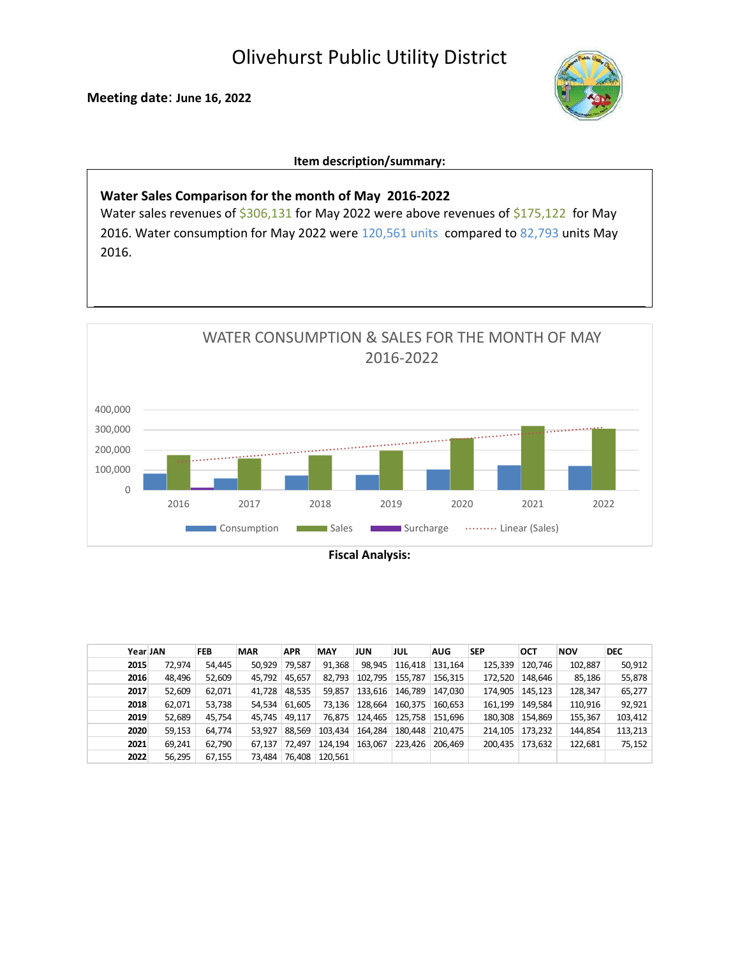Olivehurst Public Utility District

Meeting date: June 16, 2022



Item description/summary:

Water Sales Comparison for the month of May 2016-2022 Water sales revenues of \$306,131 for May 2022 were above revenues of \$175,122 for May 2016. Water consumption for May 2022 were 120,561 units compared to 82,793 units May 2016.